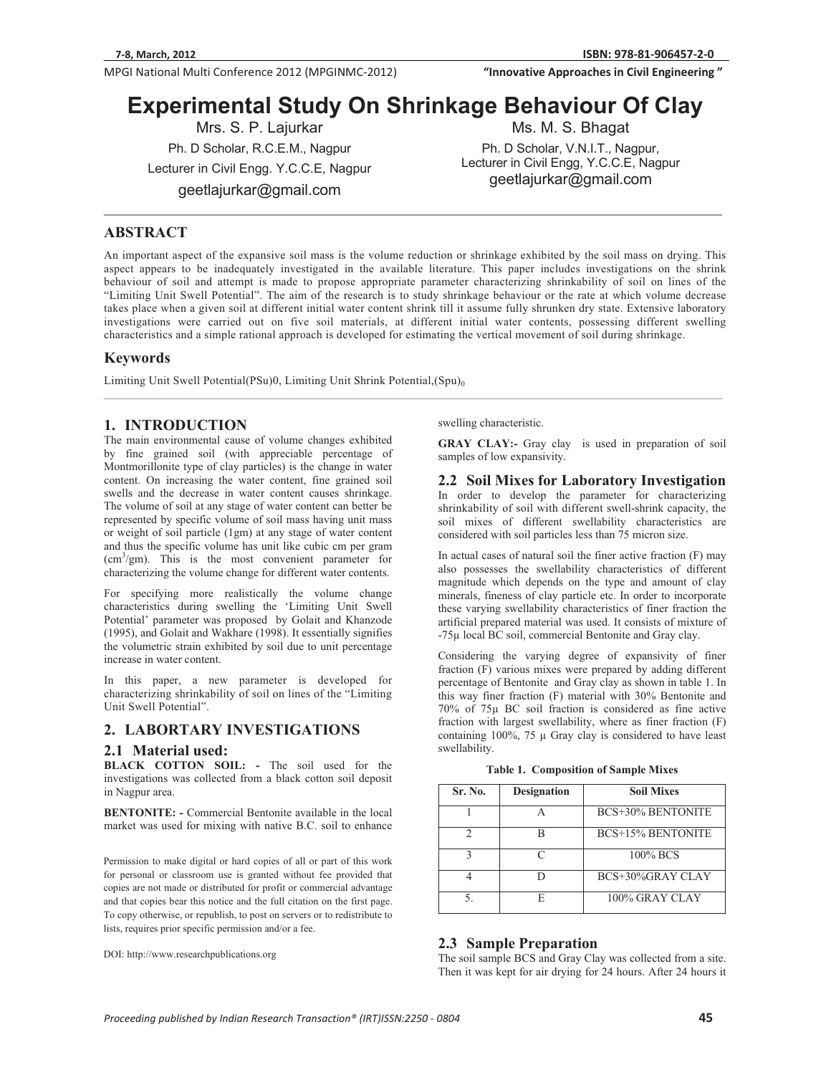**MPGI National Multi Conference 2012 (MPGINMC-2012) <b>The Conference of City Conference 2012** (MPGINMC-2012) **The Conference of City Conference 2012** (MPGINMC-2012)

**81-906457-2-0 "InnovativeApproachesinCivilEngineering"**

Ph. D Scholar, V.N.I.T., Nagpur, Lecturer in Civil Engg, Y.C.C.E, Nagpur  $\sim$ geetlajurkar@gmail.com

# **Experimental Study On Shrinkage Behaviour Of Clay**<br>Mis. M. S. Bhagat Mis. S. P. Lajurkar Mis. M. S. Bhagat

Ph. D Scholar, R.C.E.M., Nagpur Ph. D Scholar, R.C.E.M., Nagpur Lecturer in Civil Engg. Y.C.C.E, Nagpur  $\mathcal{G}$ 

**ABSTRACT** 

An important aspect of the expansive soil mass is the volume reduction or shrinkage exhibited by the soil mass on drying. This aspect appears to be inadequately investigated in the available literature. This paper includes investigations on the shrink behaviour of soil and attempt is made to propose appropriate parameter characterizing shrinkability of soil on lines of the "Limiting Unit Swell Potential". The aim of the research is to study shrinkage behaviour or the rate at which volume decrease takes place when a given soil at different initial water content shrink till it assume fully shrunken dry state. Extensive laboratory investigations were carried out on five soil materials, at different initial water contents, possessing different swelling characteristics and a simple rational approach is developed for estimating the vertical movement of soil during shrinkage.

#### **Keywords**

ֺ

Limiting Unit Swell Potential(PSu)0, Limiting Unit Shrink Potential,(Spu)<sub>0</sub>

### **1. INTRODUCTION**

The main environmental cause of volume changes exhibited by fine grained soil (with appreciable percentage of Montmorillonite type of clay particles) is the change in water content. On increasing the water content, fine grained soil swells and the decrease in water content causes shrinkage. The volume of soil at any stage of water content can better be represented by specific volume of soil mass having unit mass or weight of soil particle (1gm) at any stage of water content and thus the specific volume has unit like cubic cm per gram (cm3 /gm). This is the most convenient parameter for characterizing the volume change for different water contents.

For specifying more realistically the volume change characteristics during swelling the 'Limiting Unit Swell Potential' parameter was proposed by Golait and Khanzode (1995), and Golait and Wakhare (1998). It essentially signifies the volumetric strain exhibited by soil due to unit percentage increase in water content.

In this paper, a new parameter is developed for characterizing shrinkability of soil on lines of the "Limiting Unit Swell Potential".

#### **2. LABORTARY INVESTIGATIONS**

#### **2.1 Material used:**

**BLACK COTTON SOIL:** - The soil used for the investigations was collected from a black cotton soil deposit in Nagpur area.

**BENTONITE: -** Commercial Bentonite available in the local market was used for mixing with native B.C. soil to enhance

Permission to make digital or hard copies of all or part of this work for personal or classroom use is granted without fee provided that copies are not made or distributed for profit or commercial advantage and that copies bear this notice and the full citation on the first page. To copy otherwise, or republish, to post on servers or to redistribute to lists, requires prior specific permission and/or a fee.

DOI: http://www.researchpublications.org

swelling characteristic.

**GRAY CLAY:-** Gray clay is used in preparation of soil samples of low expansivity.

**2.2 Soil Mixes for Laboratory Investigation**  In order to develop the parameter for characterizing shrinkability of soil with different swell-shrink capacity, the soil mixes of different swellability characteristics are considered with soil particles less than 75 micron size.

In actual cases of natural soil the finer active fraction (F) may also possesses the swellability characteristics of different magnitude which depends on the type and amount of clay minerals, fineness of clay particle etc. In order to incorporate these varying swellability characteristics of finer fraction the artificial prepared material was used. It consists of mixture of -75μ local BC soil, commercial Bentonite and Gray clay.

Considering the varying degree of expansivity of finer fraction (F) various mixes were prepared by adding different percentage of Bentonite and Gray clay as shown in table 1. In this way finer fraction (F) material with 30% Bentonite and 70% of 75μ BC soil fraction is considered as fine active fraction with largest swellability, where as finer fraction (F) containing  $100\%$ , 75 μ Gray clay is considered to have least swellability.

|  |  | <b>Table 1. Composition of Sample Mixes</b> |
|--|--|---------------------------------------------|
|--|--|---------------------------------------------|

| Sr. No. | <b>Designation</b> | <b>Soil Mixes</b>        |  |
|---------|--------------------|--------------------------|--|
|         |                    | <b>BCS+30% BENTONITE</b> |  |
|         |                    | <b>BCS+15% BENTONITE</b> |  |
|         |                    | $100\%$ BCS              |  |
|         |                    | BCS+30%GRAY CLAY         |  |
|         |                    | 100% GRAY CLAY           |  |

#### **2.3 Sample Preparation**

The soil sample BCS and Gray Clay was collected from a site. Then it was kept for air drying for 24 hours. After 24 hours it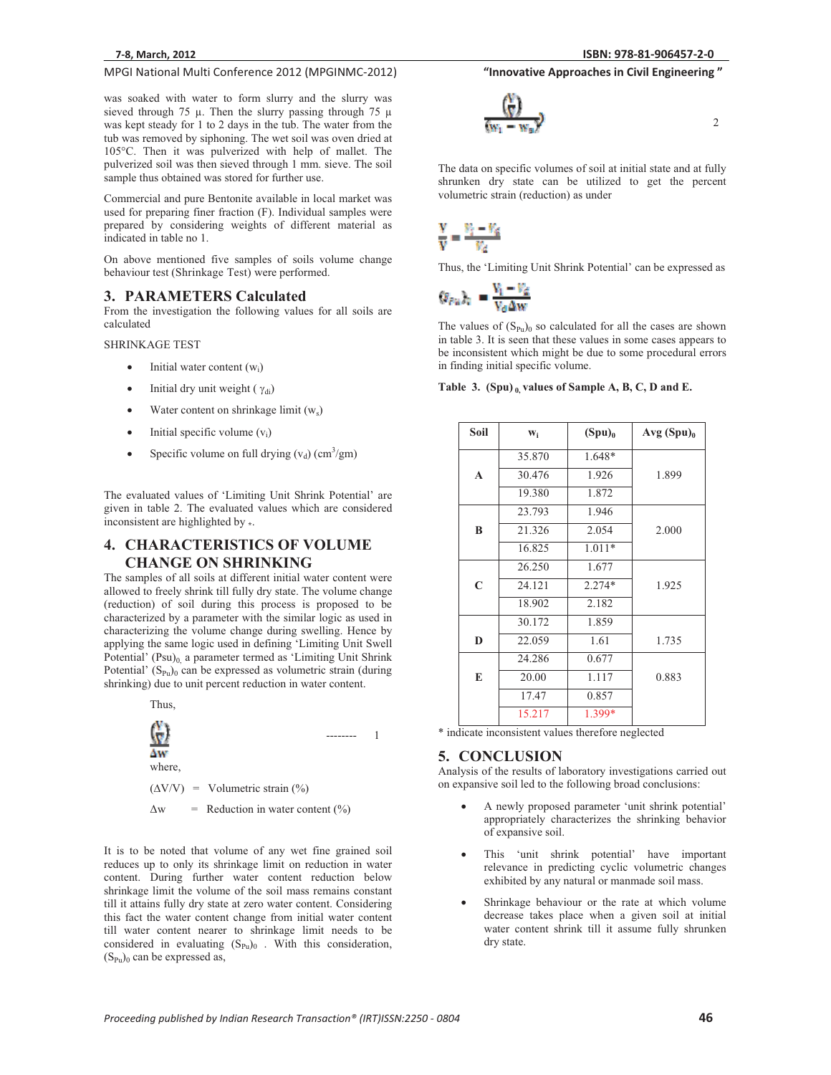#### **MPGI National Multi Conference 2012 (MPGINMC-2012) <b>The Conference of City Conference 2012** (MPGINMC-2012) **The Conference of City Conference 2012** (MPGINMC-2012) **81-906457-2-0 "InnovativeApproachesinCivilEngineering"**

was soaked with water to form slurry and the slurry was sieved through 75 μ. Then the slurry passing through 75 μ was kept steady for 1 to 2 days in the tub. The water from the tub was removed by siphoning. The wet soil was oven dried at 105°C. Then it was pulverized with help of mallet. The pulverized soil was then sieved through 1 mm. sieve. The soil sample thus obtained was stored for further use.

Commercial and pure Bentonite available in local market was used for preparing finer fraction (F). Individual samples were prepared by considering weights of different material as indicated in table no 1.

On above mentioned five samples of soils volume change behaviour test (Shrinkage Test) were performed.

#### **3. PARAMETERS Calculated**

From the investigation the following values for all soils are calculated

SHRINKAGE TEST

- -Initial water content  $(w<sub>i</sub>)$
- -Initial dry unit weight ( $\gamma_{di}$ )
- $\bullet$ Water content on shrinkage limit (ws)
- -Initial specific volume  $(v_i)$
- -• Specific volume on full drying  $(v_d)$  (cm<sup>3</sup>/gm)

The evaluated values of 'Limiting Unit Shrink Potential' are given in table 2. The evaluated values which are considered inconsistent are highlighted by **\***.

### **4. CHARACTERISTICS OF VOLUME CHANGE ON SHRINKING**

The samples of all soils at different initial water content were allowed to freely shrink till fully dry state. The volume change (reduction) of soil during this process is proposed to be characterized by a parameter with the similar logic as used in characterizing the volume change during swelling. Hence by applying the same logic used in defining 'Limiting Unit Swell Potential' (Psu)<sub>0,</sub> a parameter termed as 'Limiting Unit Shrink Potential'  $(S_{Pu})_0$  can be expressed as volumetric strain (during shrinking) due to unit percent reduction in water content.

Thus,



It is to be noted that volume of any wet fine grained soil reduces up to only its shrinkage limit on reduction in water content. During further water content reduction below shrinkage limit the volume of the soil mass remains constant till it attains fully dry state at zero water content. Considering this fact the water content change from initial water content till water content nearer to shrinkage limit needs to be considered in evaluating  $(S_{Pu})_0$ . With this consideration,  $(S_{Pu})_0$  can be expressed as,

$$
\frac{\binom{N}{N}}{\left\langle w_1 - w_2 \right\rangle^2}
$$

2

The data on specific volumes of soil at initial state and at fully shrunken dry state can be utilized to get the percent volumetric strain (reduction) as under

$$
\frac{V}{V} = \frac{V_1 - V_4}{V_4}
$$

Thus, the 'Limiting Unit Shrink Potential' can be expressed as

$$
\langle s_{\mu u} \rangle_{\rm c} = \frac{v_{\rm i} - v_{\rm d}}{v_{\rm d} \Delta w}
$$

The values of  $(S_{Pu})$  so calculated for all the cases are shown in table 3. It is seen that these values in some cases appears to be inconsistent which might be due to some procedural errors in finding initial specific volume.

#### Table 3. (Spu) 0 values of Sample A, B, C, D and E.

| Soil        | $W_i$  | $(Spu)_0$ | Avg (Spu) <sub>0</sub> |
|-------------|--------|-----------|------------------------|
|             | 35.870 | 1.648*    |                        |
| A           | 30.476 | 1.926     | 1.899                  |
|             | 19.380 | 1.872     |                        |
|             | 23.793 | 1.946     |                        |
| B           | 21.326 | 2.054     | 2.000                  |
|             | 16.825 | $1.011*$  |                        |
|             | 26.250 | 1.677     |                        |
| $\mathbf C$ | 24.121 | $2.274*$  | 1.925                  |
|             | 18.902 | 2.182     |                        |
|             | 30.172 | 1.859     |                        |
| D           | 22.059 | 1.61      | 1.735                  |
|             | 24.286 | 0.677     |                        |
| E           | 20.00  | 1.117     | 0.883                  |
|             | 17.47  | 0.857     |                        |
|             | 15.217 | 1.399*    |                        |

\* indicate inconsistent values therefore neglected

#### **5. CONCLUSION**

Analysis of the results of laboratory investigations carried out on expansive soil led to the following broad conclusions:

- - A newly proposed parameter 'unit shrink potential' appropriately characterizes the shrinking behavior of expansive soil.
- $\bullet$  This 'unit shrink potential' have important relevance in predicting cyclic volumetric changes exhibited by any natural or manmade soil mass.
- - Shrinkage behaviour or the rate at which volume decrease takes place when a given soil at initial water content shrink till it assume fully shrunken dry state.